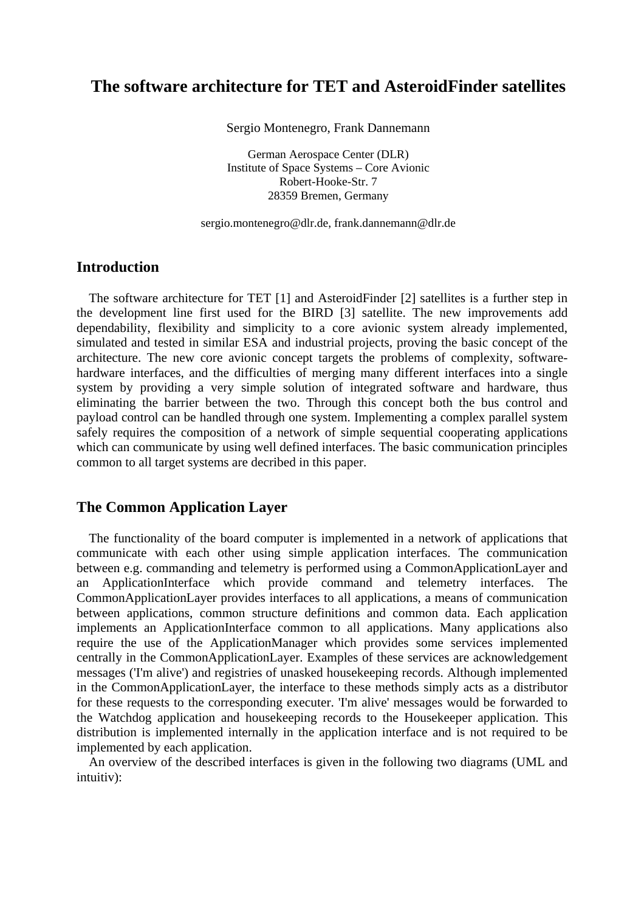# **The software architecture for TET and AsteroidFinder satellites**

Sergio Montenegro, Frank Dannemann

German Aerospace Center (DLR) Institute of Space Systems – Core Avionic Robert-Hooke-Str. 7 28359 Bremen, Germany

sergio.montenegro@dlr.de, frank.dannemann@dlr.de

#### **Introduction**

The software architecture for TET [1] and AsteroidFinder [2] satellites is a further step in the development line first used for the BIRD [3] satellite. The new improvements add dependability, flexibility and simplicity to a core avionic system already implemented, simulated and tested in similar ESA and industrial projects, proving the basic concept of the architecture. The new core avionic concept targets the problems of complexity, softwarehardware interfaces, and the difficulties of merging many different interfaces into a single system by providing a very simple solution of integrated software and hardware, thus eliminating the barrier between the two. Through this concept both the bus control and payload control can be handled through one system. Implementing a complex parallel system safely requires the composition of a network of simple sequential cooperating applications which can communicate by using well defined interfaces. The basic communication principles common to all target systems are decribed in this paper.

## **The Common Application Layer**

The functionality of the board computer is implemented in a network of applications that communicate with each other using simple application interfaces. The communication between e.g. commanding and telemetry is performed using a CommonApplicationLayer and an ApplicationInterface which provide command and telemetry interfaces. The CommonApplicationLayer provides interfaces to all applications, a means of communication between applications, common structure definitions and common data. Each application implements an ApplicationInterface common to all applications. Many applications also require the use of the ApplicationManager which provides some services implemented centrally in the CommonApplicationLayer. Examples of these services are acknowledgement messages ('I'm alive') and registries of unasked housekeeping records. Although implemented in the CommonApplicationLayer, the interface to these methods simply acts as a distributor for these requests to the corresponding executer. 'I'm alive' messages would be forwarded to the Watchdog application and housekeeping records to the Housekeeper application. This distribution is implemented internally in the application interface and is not required to be implemented by each application.

An overview of the described interfaces is given in the following two diagrams (UML and intuitiv):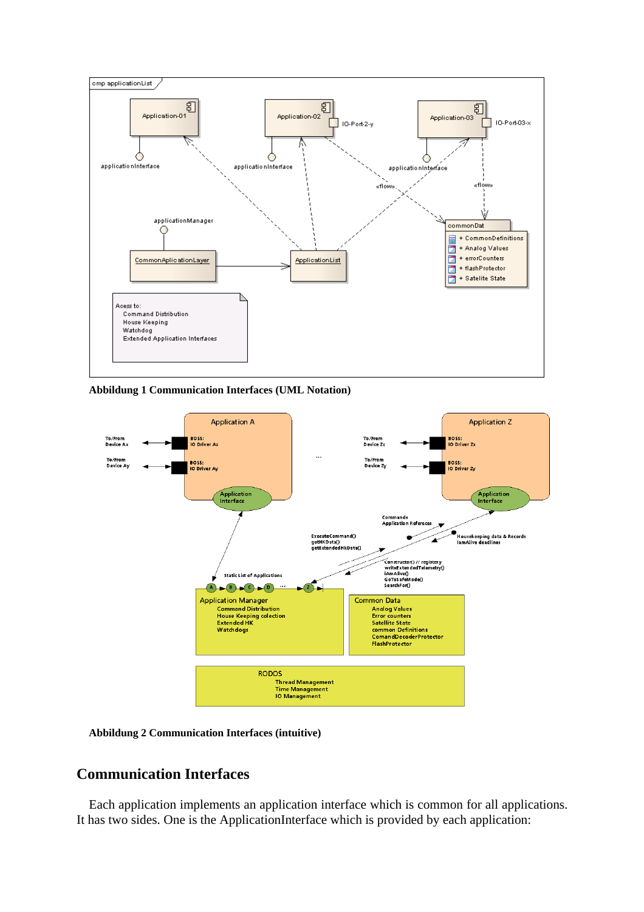

**Abbildung 1 Communication Interfaces (UML Notation)** 



**Abbildung 2 Communication Interfaces (intuitive)** 

### **Communication Interfaces**

Each application implements an application interface which is common for all applications. It has two sides. One is the ApplicationInterface which is provided by each application: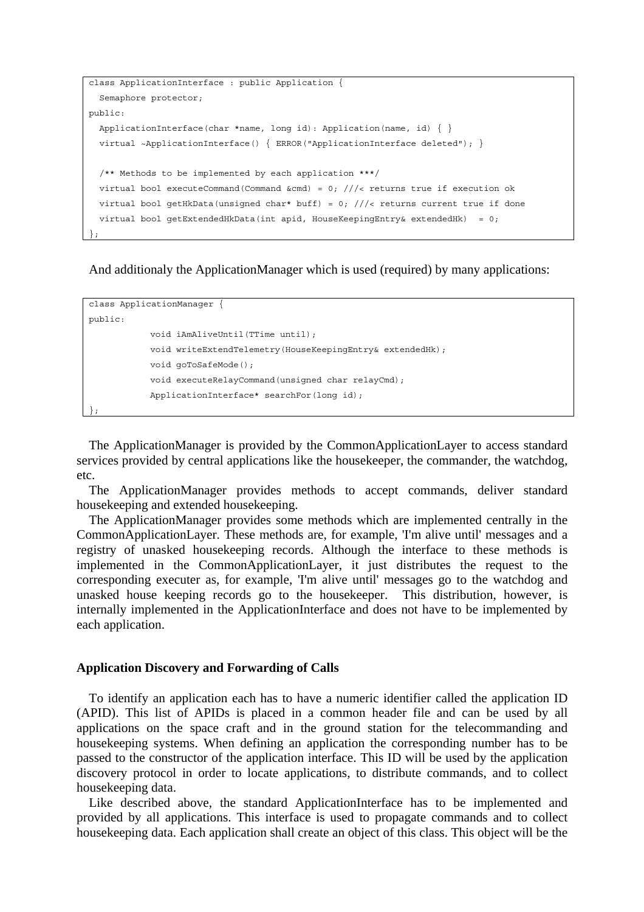```
class ApplicationInterface : public Application { 
   Semaphore protector; 
public: 
  ApplicationInterface(char *name, long id): Application(name, id) \{\} virtual ~ApplicationInterface() { ERROR("ApplicationInterface deleted"); } 
   /** Methods to be implemented by each application ***/ 
  virtual bool executeCommand(Command &cmd) = 0; ///< returns true if execution ok
  virtual bool getHkData(unsigned char* buff) = 0; ///< returns current true if done
  virtual bool getExtendedHkData(int apid, HouseKeepingEntry& extendedHk) = 0;
};
```
And additionaly the ApplicationManager which is used (required) by many applications:

```
class ApplicationManager { 
public: 
             void iAmAliveUntil(TTime until); 
            void writeExtendTelemetry(HouseKeepingEntry& extendedHk); 
             void goToSafeMode(); 
            void executeRelayCommand(unsigned char relayCmd); 
            ApplicationInterface* searchFor(long id); 
\} ;
```
The ApplicationManager is provided by the CommonApplicationLayer to access standard services provided by central applications like the housekeeper, the commander, the watchdog, etc.

The ApplicationManager provides methods to accept commands, deliver standard housekeeping and extended housekeeping.

The ApplicationManager provides some methods which are implemented centrally in the CommonApplicationLayer. These methods are, for example, 'I'm alive until' messages and a registry of unasked housekeeping records. Although the interface to these methods is implemented in the CommonApplicationLayer, it just distributes the request to the corresponding executer as, for example, 'I'm alive until' messages go to the watchdog and unasked house keeping records go to the housekeeper. This distribution, however, is internally implemented in the ApplicationInterface and does not have to be implemented by each application.

#### **Application Discovery and Forwarding of Calls**

To identify an application each has to have a numeric identifier called the application ID (APID). This list of APIDs is placed in a common header file and can be used by all applications on the space craft and in the ground station for the telecommanding and housekeeping systems. When defining an application the corresponding number has to be passed to the constructor of the application interface. This ID will be used by the application discovery protocol in order to locate applications, to distribute commands, and to collect housekeeping data.

Like described above, the standard ApplicationInterface has to be implemented and provided by all applications. This interface is used to propagate commands and to collect housekeeping data. Each application shall create an object of this class. This object will be the